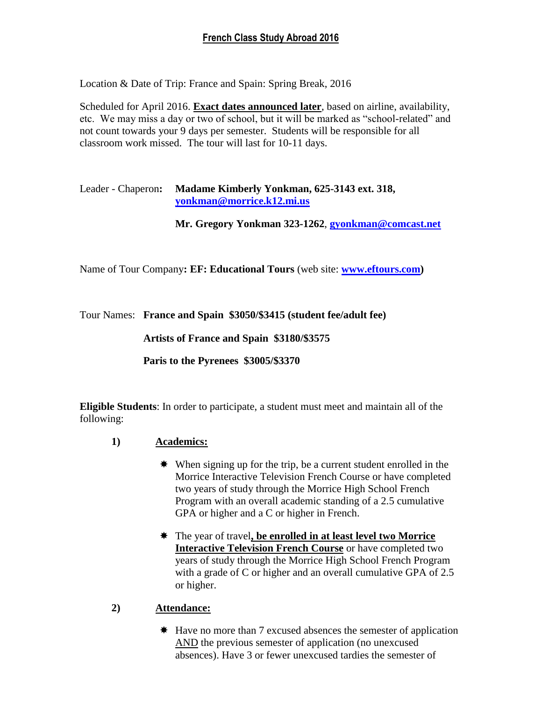# **French Class Study Abroad 2016**

Location & Date of Trip: France and Spain: Spring Break, 2016

Scheduled for April 2016. **Exact dates announced later**, based on airline, availability, etc. We may miss a day or two of school, but it will be marked as "school-related" and not count towards your 9 days per semester. Students will be responsible for all classroom work missed. The tour will last for 10-11 days.

## Leader - Chaperon**: Madame Kimberly Yonkman, 625-3143 ext. 318, [yonkman@morrice.k12.mi.us](mailto:yonkman@morrice.k12.mi.us)**

**Mr. Gregory Yonkman 323-1262**, **gyonkman@comcast.net**

Name of Tour Company**: EF: Educational Tours** (web site: **[www.eftours.com\)](http://www.eftours.com/)**

Tour Names: **France and Spain \$3050/\$3415 (student fee/adult fee)**

**Artists of France and Spain \$3180/\$3575**

**Paris to the Pyrenees \$3005/\$3370**

**Eligible Students**: In order to participate, a student must meet and maintain all of the following:

- **1) Academics:**
	- When signing up for the trip, be a current student enrolled in the Morrice Interactive Television French Course or have completed two years of study through the Morrice High School French Program with an overall academic standing of a 2.5 cumulative GPA or higher and a C or higher in French.
	- The year of travel**, be enrolled in at least level two Morrice Interactive Television French Course** or have completed two years of study through the Morrice High School French Program with a grade of C or higher and an overall cumulative GPA of 2.5 or higher.

## **2) Attendance:**

 $\text{★}$  Have no more than 7 excused absences the semester of application AND the previous semester of application (no unexcused absences). Have 3 or fewer unexcused tardies the semester of